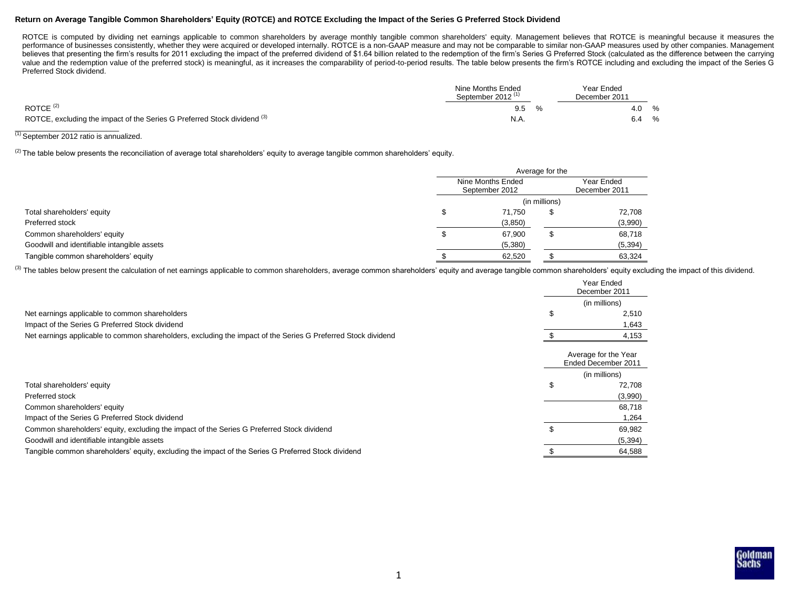## **Return on Average Tangible Common Shareholders' Equity (ROTCE) and ROTCE Excluding the Impact of the Series G Preferred Stock Dividend**

ROTCE is computed by dividing net earnings applicable to common shareholders by average monthly tangible common shareholders' equity. Management believes that ROTCE is meaningful because it measures the performance of businesses consistently, whether they were acquired or developed internally. ROTCE is a non-GAAP measure and may not be comparable to similar non-GAAP measures used by other companies. Management believes that presenting the firm's results for 2011 excluding the impact of the preferred dividend of \$1.64 billion related to the redemption of the firm's Series G Preferred Stock (calculated as the difference between th value and the redemption value of the preferred stock) is meaningful, as it increases the comparability of period-to-period results. The table below presents the firm's ROTCE including and excluding the impact of the Serie Preferred Stock dividend.

|                                                                          | Nine Months Ended<br>September 2012 <sup>(1)</sup> | Year Ended<br>December 2011 |  |
|--------------------------------------------------------------------------|----------------------------------------------------|-----------------------------|--|
| ROTCE $(2)$                                                              | 9.5                                                | %<br>4.0                    |  |
| ROTCE, excluding the impact of the Series G Preferred Stock dividend (3) | N.A.                                               | %<br>6.4                    |  |

# $\frac{1}{10}$  September 2012 ratio is annualized.

<sup>(2)</sup> The table below presents the reconciliation of average total shareholders' equity to average tangible common shareholders' equity.

|                                             | Average for the                     |               |                             |  |  |  |  |
|---------------------------------------------|-------------------------------------|---------------|-----------------------------|--|--|--|--|
|                                             | Nine Months Ended<br>September 2012 |               | Year Ended<br>December 2011 |  |  |  |  |
| Total shareholders' equity                  |                                     | (in millions) |                             |  |  |  |  |
|                                             | 71.750                              |               | 72,708                      |  |  |  |  |
| Preferred stock                             | (3,850)                             |               | (3,990)                     |  |  |  |  |
| Common shareholders' equity                 | 67,900                              |               | 68,718                      |  |  |  |  |
| Goodwill and identifiable intangible assets | (5,380)                             |               | (5, 394)                    |  |  |  |  |
| Tangible common shareholders' equity        | 62,520                              |               | 63,324                      |  |  |  |  |

(3) The tables below present the calculation of net earnings applicable to common shareholders, average common shareholders' equity and average tangible common shareholders' equity excluding the impact of this dividend.

|                                                                                                               | Year Ended<br>December 2011                 |
|---------------------------------------------------------------------------------------------------------------|---------------------------------------------|
|                                                                                                               | (in millions)                               |
| Net earnings applicable to common shareholders                                                                | 2,510                                       |
| Impact of the Series G Preferred Stock dividend                                                               | 1,643                                       |
| Net earnings applicable to common shareholders, excluding the impact of the Series G Preferred Stock dividend | 4,153                                       |
|                                                                                                               | Average for the Year<br>Ended December 2011 |
|                                                                                                               | (in millions)                               |
| Total shareholders' equity                                                                                    | 72,708                                      |
| Preferred stock                                                                                               | (3,990)                                     |
| Common shareholders' equity                                                                                   | 68,718                                      |
| Impact of the Series G Preferred Stock dividend                                                               | 1,264                                       |
| Common shareholders' equity, excluding the impact of the Series G Preferred Stock dividend                    | 69,982                                      |
| Goodwill and identifiable intangible assets                                                                   | (5, 394)                                    |
| Tangible common shareholders' equity, excluding the impact of the Series G Preferred Stock dividend           | 64,588                                      |

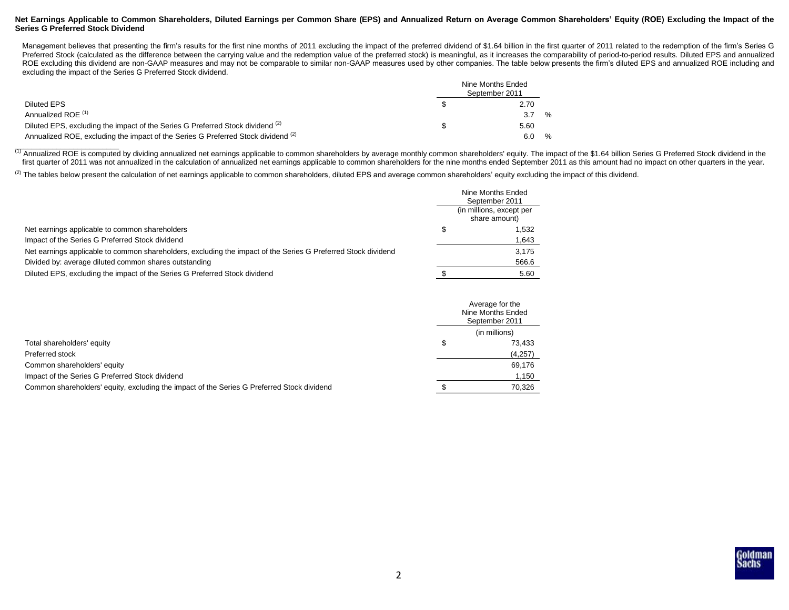## **Net Earnings Applicable to Common Shareholders, Diluted Earnings per Common Share (EPS) and Annualized Return on Average Common Shareholders' Equity (ROE) Excluding the Impact of the Series G Preferred Stock Dividend**

Management believes that presenting the firm's results for the first nine months of 2011 excluding the impact of the preferred dividend of \$1.64 billion in the first quarter of 2011 related to the redemption of the firm's Preferred Stock (calculated as the difference between the carrying value and the redemption value of the preferred stock) is meaningful, as it increases the comparability of period-to-period results. Diluted EPS and annual ROE excluding this dividend are non-GAAP measures and may not be comparable to similar non-GAAP measures used by other companies. The table below presents the firm's diluted EPS and annualized ROE including and excluding the impact of the Series G Preferred Stock dividend.

|                                                                                              | Nine Months Ended<br>September 2011 |      |
|----------------------------------------------------------------------------------------------|-------------------------------------|------|
| Diluted EPS                                                                                  | 2.70                                |      |
| Annualized ROE <sup>(1)</sup>                                                                |                                     | $\%$ |
| Diluted EPS, excluding the impact of the Series G Preferred Stock dividend <sup>(2)</sup>    | 5.60                                |      |
| Annualized ROE, excluding the impact of the Series G Preferred Stock dividend <sup>(2)</sup> |                                     | $\%$ |

(1) Annualized ROE is computed by dividing annualized net earnings applicable to common shareholders by average monthly common shareholders' equity. The impact of the \$1.64 billion Series G Preferred Stock dividend in the first quarter of 2011 was not annualized in the calculation of annualized net earnings applicable to common shareholders for the nine months ended September 2011 as this amount had no impact on other quarters in the year.

 $^{(2)}$  The tables below present the calculation of net earnings applicable to common shareholders, diluted EPS and average common shareholders' equity excluding the impact of this dividend.

|                                                                                                               | Nine Months Ended<br>September 2011       |
|---------------------------------------------------------------------------------------------------------------|-------------------------------------------|
|                                                                                                               | (in millions, except per<br>share amount) |
| Net earnings applicable to common shareholders                                                                | 1.532                                     |
| Impact of the Series G Preferred Stock dividend                                                               | 1,643                                     |
| Net earnings applicable to common shareholders, excluding the impact of the Series G Preferred Stock dividend | 3.175                                     |
| Divided by: average diluted common shares outstanding                                                         | 566.6                                     |
| Diluted EPS, excluding the impact of the Series G Preferred Stock dividend                                    | 5.60                                      |

|                                                                                            | Average for the<br>Nine Months Ended<br>September 2011 |
|--------------------------------------------------------------------------------------------|--------------------------------------------------------|
|                                                                                            | (in millions)                                          |
| Total shareholders' equity                                                                 | 73.433                                                 |
| Preferred stock                                                                            | (4,257)                                                |
| Common shareholders' equity                                                                | 69.176                                                 |
| Impact of the Series G Preferred Stock dividend                                            | 1,150                                                  |
| Common shareholders' equity, excluding the impact of the Series G Preferred Stock dividend | 70.326                                                 |

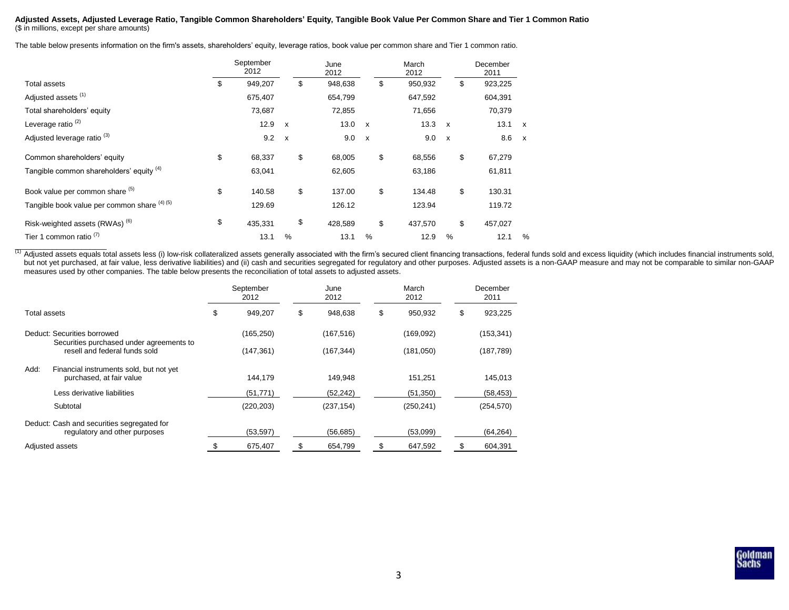#### **Adjusted Assets, Adjusted Leverage Ratio, Tangible Common Shareholders' Equity, Tangible Book Value Per Common Share and Tier 1 Common Ratio** (\$ in millions, except per share amounts)

The table below presents information on the firm's assets, shareholders' equity, leverage ratios, book value per common share and Tier 1 common ratio.

|                                              | September<br>2012 |                           | June<br>2012  |              | March<br>2012 |              | December<br>2011 |              |
|----------------------------------------------|-------------------|---------------------------|---------------|--------------|---------------|--------------|------------------|--------------|
| Total assets                                 | \$<br>949,207     |                           | \$<br>948,638 |              | \$<br>950,932 |              | \$<br>923,225    |              |
| Adjusted assets <sup>(1)</sup>               | 675,407           |                           | 654,799       |              | 647,592       |              | 604,391          |              |
| Total shareholders' equity                   | 73,687            |                           | 72,855        |              | 71,656        |              | 70,379           |              |
| Leverage ratio <sup>(2)</sup>                | 12.9              | $\boldsymbol{\mathsf{x}}$ | 13.0          | $\mathsf{x}$ | 13.3          | $\mathsf{x}$ | 13.1             | $\mathsf{x}$ |
| Adjusted leverage ratio <sup>(3)</sup>       | 9.2               | $\boldsymbol{\mathsf{x}}$ | 9.0           | $\mathsf{x}$ | 9.0           | $\mathsf{x}$ | 8.6 x            |              |
| Common shareholders' equity                  | \$<br>68,337      |                           | \$<br>68,005  |              | \$<br>68,556  |              | \$<br>67,279     |              |
| Tangible common shareholders' equity (4)     | 63,041            |                           | 62,605        |              | 63,186        |              | 61,811           |              |
| Book value per common share (5)              | \$<br>140.58      |                           | \$<br>137.00  |              | \$<br>134.48  |              | \$<br>130.31     |              |
| Tangible book value per common share (4) (5) | 129.69            |                           | 126.12        |              | 123.94        |              | 119.72           |              |
| Risk-weighted assets (RWAs) <sup>(6)</sup>   | \$<br>435,331     |                           | \$<br>428.589 |              | \$<br>437,570 |              | \$<br>457,027    |              |
| Tier 1 common ratio $(7)$                    | 13.1              | %                         | 13.1          | %            | 12.9          | %            | 12.1             | %            |

(1) Adjusted assets equals total assets less (i) low-risk collateralized assets generally associated with the firm's secured client financing transactions, federal funds sold and excess liquidity (which includes financial but not yet purchased, at fair value, less derivative liabilities) and (ii) cash and securities segregated for regulatory and other purposes. Adjusted assets is a non-GAAP measure and may not be comparable to similar non-G measures used by other companies. The table below presents the reconciliation of total assets to adjusted assets.

|              |                                                                             | September<br>2012 | June<br>2012  |    | March<br>2012 | December<br>2011 |
|--------------|-----------------------------------------------------------------------------|-------------------|---------------|----|---------------|------------------|
| Total assets |                                                                             | \$<br>949,207     | \$<br>948,638 | \$ | 950,932       | \$<br>923,225    |
|              | Deduct: Securities borrowed                                                 | (165, 250)        | (167, 516)    |    | (169,092)     | (153, 341)       |
|              | Securities purchased under agreements to<br>resell and federal funds sold   | (147,361)         | (167, 344)    |    | (181,050)     | (187, 789)       |
| Add:         | Financial instruments sold, but not yet<br>purchased, at fair value         | 144.179           | 149,948       |    | 151,251       | 145,013          |
|              | Less derivative liabilities                                                 | (51, 771)         | (52, 242)     |    | (51, 350)     | (58, 453)        |
|              | Subtotal                                                                    | (220, 203)        | (237, 154)    |    | (250, 241)    | (254, 570)       |
|              | Deduct: Cash and securities segregated for<br>regulatory and other purposes | (53, 597)         | (56, 685)     |    | (53,099)      | (64, 264)        |
|              | Adjusted assets                                                             | 675,407           | \$<br>654,799 | \$ | 647,592       | \$<br>604,391    |